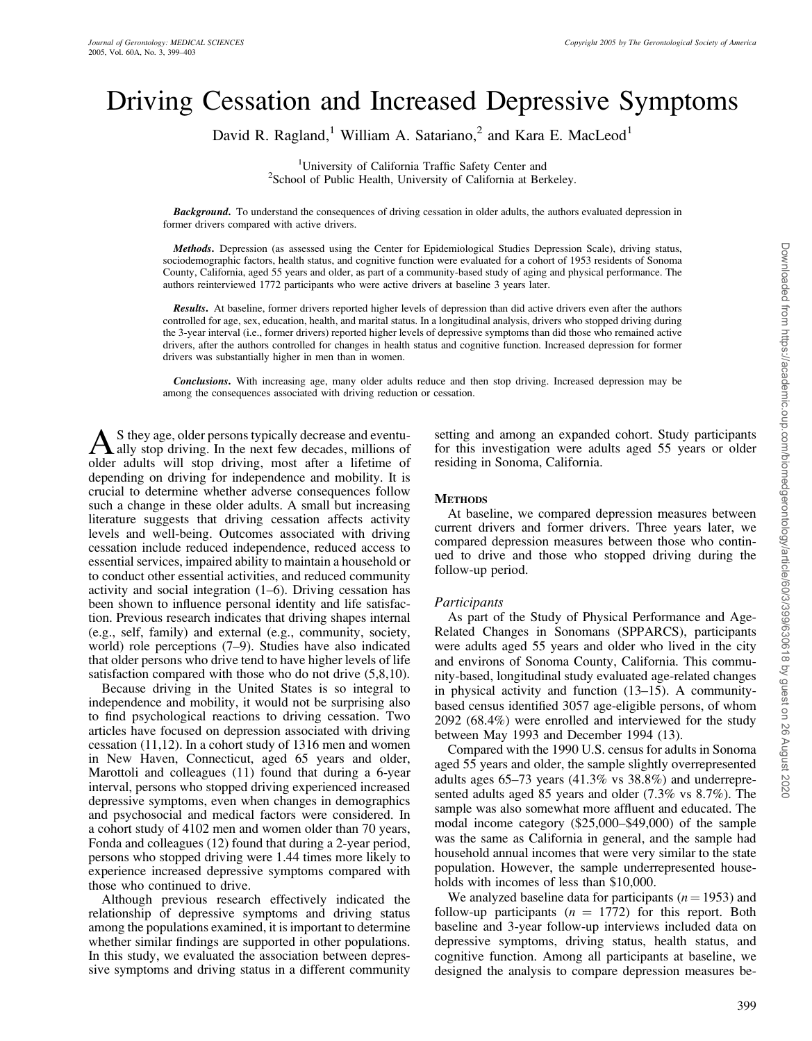# Driving Cessation and Increased Depressive Symptoms

David R. Ragland,<sup>1</sup> William A. Satariano,<sup>2</sup> and Kara E. MacLeod<sup>1</sup>

<sup>1</sup>University of California Traffic Safety Center and <sup>2</sup>School of Public Health University of California at Ber <sup>2</sup>School of Public Health, University of California at Berkeley.

**Background.** To understand the consequences of driving cessation in older adults, the authors evaluated depression in former drivers compared with active drivers.

Methods. Depression (as assessed using the Center for Epidemiological Studies Depression Scale), driving status, sociodemographic factors, health status, and cognitive function were evaluated for a cohort of 1953 residents of Sonoma County, California, aged 55 years and older, as part of a community-based study of aging and physical performance. The authors reinterviewed 1772 participants who were active drivers at baseline 3 years later.

Results. At baseline, former drivers reported higher levels of depression than did active drivers even after the authors controlled for age, sex, education, health, and marital status. In a longitudinal analysis, drivers who stopped driving during the 3-year interval (i.e., former drivers) reported higher levels of depressive symptoms than did those who remained active drivers, after the authors controlled for changes in health status and cognitive function. Increased depression for former drivers was substantially higher in men than in women.

Conclusions. With increasing age, many older adults reduce and then stop driving. Increased depression may be among the consequences associated with driving reduction or cessation.

As they age, older persons typically decrease and eventu-<br>ally stop driving. In the next few decades, millions of older adults will stop driving, most after a lifetime of depending on driving for independence and mobility. It is crucial to determine whether adverse consequences follow such a change in these older adults. A small but increasing literature suggests that driving cessation affects activity levels and well-being. Outcomes associated with driving cessation include reduced independence, reduced access to essential services, impaired ability to maintain a household or to conduct other essential activities, and reduced community activity and social integration (1–6). Driving cessation has been shown to influence personal identity and life satisfaction. Previous research indicates that driving shapes internal (e.g., self, family) and external (e.g., community, society, world) role perceptions (7–9). Studies have also indicated that older persons who drive tend to have higher levels of life satisfaction compared with those who do not drive (5,8,10).

Because driving in the United States is so integral to independence and mobility, it would not be surprising also to find psychological reactions to driving cessation. Two articles have focused on depression associated with driving cessation (11,12). In a cohort study of 1316 men and women in New Haven, Connecticut, aged 65 years and older, Marottoli and colleagues (11) found that during a 6-year interval, persons who stopped driving experienced increased depressive symptoms, even when changes in demographics and psychosocial and medical factors were considered. In a cohort study of 4102 men and women older than 70 years, Fonda and colleagues (12) found that during a 2-year period, persons who stopped driving were 1.44 times more likely to experience increased depressive symptoms compared with those who continued to drive.

Although previous research effectively indicated the relationship of depressive symptoms and driving status among the populations examined, it is important to determine whether similar findings are supported in other populations. In this study, we evaluated the association between depressive symptoms and driving status in a different community

setting and among an expanded cohort. Study participants for this investigation were adults aged 55 years or older residing in Sonoma, California.

#### **METHODS**

At baseline, we compared depression measures between current drivers and former drivers. Three years later, we compared depression measures between those who continued to drive and those who stopped driving during the follow-up period.

# **Participants**

As part of the Study of Physical Performance and Age-Related Changes in Sonomans (SPPARCS), participants were adults aged 55 years and older who lived in the city and environs of Sonoma County, California. This community-based, longitudinal study evaluated age-related changes in physical activity and function (13–15). A communitybased census identified 3057 age-eligible persons, of whom 2092 (68.4%) were enrolled and interviewed for the study between May 1993 and December 1994 (13).

Compared with the 1990 U.S. census for adults in Sonoma aged 55 years and older, the sample slightly overrepresented adults ages 65–73 years (41.3% vs 38.8%) and underrepresented adults aged 85 years and older (7.3% vs 8.7%). The sample was also somewhat more affluent and educated. The modal income category (\$25,000–\$49,000) of the sample was the same as California in general, and the sample had household annual incomes that were very similar to the state population. However, the sample underrepresented households with incomes of less than \$10,000.

We analyzed baseline data for participants  $(n = 1953)$  and follow-up participants  $(n = 1772)$  for this report. Both baseline and 3-year follow-up interviews included data on depressive symptoms, driving status, health status, and cognitive function. Among all participants at baseline, we designed the analysis to compare depression measures be-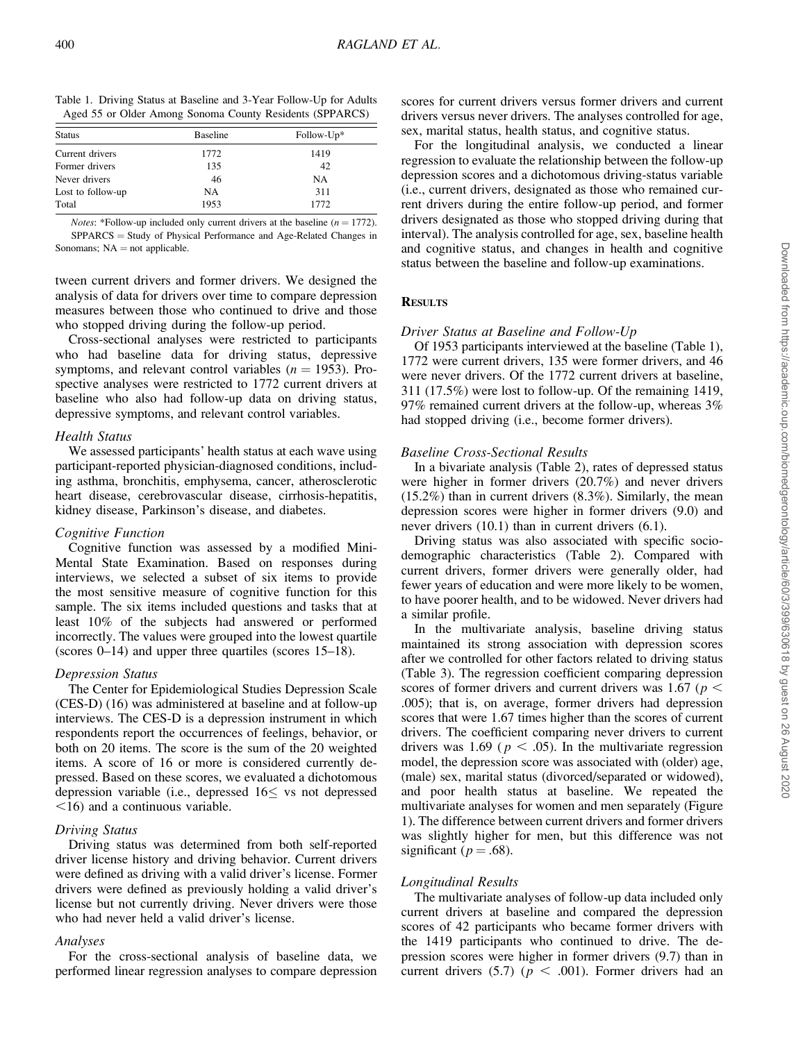| Table 1. Driving Status at Baseline and 3-Year Follow-Up for Adults |  |  |  |
|---------------------------------------------------------------------|--|--|--|
| Aged 55 or Older Among Sonoma County Residents (SPPARCS)            |  |  |  |

| <b>Status</b>     | <b>Baseline</b> | Follow-Up* |
|-------------------|-----------------|------------|
| Current drivers   | 1772            | 1419       |
| Former drivers    | 135             | 42         |
| Never drivers     | 46              | NA         |
| Lost to follow-up | <b>NA</b>       | 311        |
| Total             | 1953            | 1772       |

*Notes*: \*Follow-up included only current drivers at the baseline  $(n = 1772)$ .  $SPPARCS = Study of Physical Performance and Age-Related Changes in$ Sonomans;  $NA = not$  applicable.

tween current drivers and former drivers. We designed the analysis of data for drivers over time to compare depression measures between those who continued to drive and those who stopped driving during the follow-up period.

Cross-sectional analyses were restricted to participants who had baseline data for driving status, depressive symptoms, and relevant control variables ( $n = 1953$ ). Prospective analyses were restricted to 1772 current drivers at baseline who also had follow-up data on driving status, depressive symptoms, and relevant control variables.

#### Health Status

We assessed participants' health status at each wave using participant-reported physician-diagnosed conditions, including asthma, bronchitis, emphysema, cancer, atherosclerotic heart disease, cerebrovascular disease, cirrhosis-hepatitis, kidney disease, Parkinson's disease, and diabetes.

# Cognitive Function

Cognitive function was assessed by a modified Mini-Mental State Examination. Based on responses during interviews, we selected a subset of six items to provide the most sensitive measure of cognitive function for this sample. The six items included questions and tasks that at least 10% of the subjects had answered or performed incorrectly. The values were grouped into the lowest quartile (scores 0–14) and upper three quartiles (scores 15–18).

# Depression Status

The Center for Epidemiological Studies Depression Scale (CES-D) (16) was administered at baseline and at follow-up interviews. The CES-D is a depression instrument in which respondents report the occurrences of feelings, behavior, or both on 20 items. The score is the sum of the 20 weighted items. A score of 16 or more is considered currently depressed. Based on these scores, we evaluated a dichotomous depression variable (i.e., depressed  $16 \leq$  vs not depressed  $\leq$ 16) and a continuous variable.

# Driving Status

Driving status was determined from both self-reported driver license history and driving behavior. Current drivers were defined as driving with a valid driver's license. Former drivers were defined as previously holding a valid driver's license but not currently driving. Never drivers were those who had never held a valid driver's license.

#### Analyses

For the cross-sectional analysis of baseline data, we performed linear regression analyses to compare depression scores for current drivers versus former drivers and current drivers versus never drivers. The analyses controlled for age, sex, marital status, health status, and cognitive status.

For the longitudinal analysis, we conducted a linear regression to evaluate the relationship between the follow-up depression scores and a dichotomous driving-status variable (i.e., current drivers, designated as those who remained current drivers during the entire follow-up period, and former drivers designated as those who stopped driving during that interval). The analysis controlled for age, sex, baseline health and cognitive status, and changes in health and cognitive status between the baseline and follow-up examinations.

# **RESULTS**

# Driver Status at Baseline and Follow-Up

Of 1953 participants interviewed at the baseline (Table 1), 1772 were current drivers, 135 were former drivers, and 46 were never drivers. Of the 1772 current drivers at baseline, 311 (17.5%) were lost to follow-up. Of the remaining 1419, 97% remained current drivers at the follow-up, whereas 3% had stopped driving (i.e., become former drivers).

# Baseline Cross-Sectional Results

In a bivariate analysis (Table 2), rates of depressed status were higher in former drivers (20.7%) and never drivers  $(15.2\%)$  than in current drivers  $(8.3\%)$ . Similarly, the mean depression scores were higher in former drivers (9.0) and never drivers (10.1) than in current drivers (6.1).

Driving status was also associated with specific sociodemographic characteristics (Table 2). Compared with current drivers, former drivers were generally older, had fewer years of education and were more likely to be women, to have poorer health, and to be widowed. Never drivers had a similar profile.

In the multivariate analysis, baseline driving status maintained its strong association with depression scores after we controlled for other factors related to driving status (Table 3). The regression coefficient comparing depression scores of former drivers and current drivers was 1.67 ( $p <$ .005); that is, on average, former drivers had depression scores that were 1.67 times higher than the scores of current drivers. The coefficient comparing never drivers to current drivers was 1.69 ( $p < .05$ ). In the multivariate regression model, the depression score was associated with (older) age, (male) sex, marital status (divorced/separated or widowed), and poor health status at baseline. We repeated the multivariate analyses for women and men separately (Figure 1). The difference between current drivers and former drivers was slightly higher for men, but this difference was not significant ( $p = .68$ ).

# Longitudinal Results

The multivariate analyses of follow-up data included only current drivers at baseline and compared the depression scores of 42 participants who became former drivers with the 1419 participants who continued to drive. The depression scores were higher in former drivers (9.7) than in current drivers (5.7) ( $p < .001$ ). Former drivers had an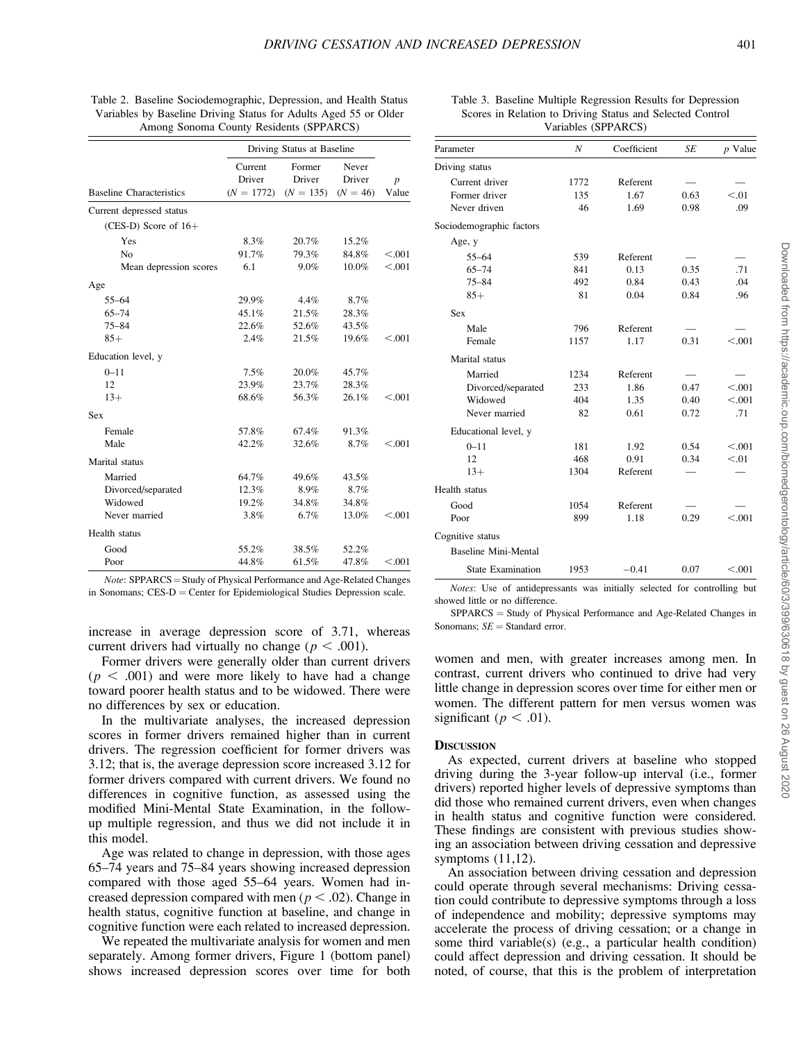|                                 | Driving Status at Baseline        |                                 |                               |                           |
|---------------------------------|-----------------------------------|---------------------------------|-------------------------------|---------------------------|
| <b>Baseline Characteristics</b> | Current<br>Driver<br>$(N = 1772)$ | Former<br>Driver<br>$(N = 135)$ | Never<br>Driver<br>$(N = 46)$ | $\boldsymbol{p}$<br>Value |
| Current depressed status        |                                   |                                 |                               |                           |
| $(CES-D)$ Score of $16+$        |                                   |                                 |                               |                           |
| Yes                             | 8.3%                              | 20.7%                           | 15.2%                         |                           |
| No                              | 91.7%                             | 79.3%                           | 84.8%                         | < 0.001                   |
| Mean depression scores          | 6.1                               | 9.0%                            | 10.0%                         | < 0.001                   |
| Age                             |                                   |                                 |                               |                           |
| $55 - 64$                       | 29.9%                             | $4.4\%$                         | 8.7%                          |                           |
| $65 - 74$                       | 45.1%                             | 21.5%                           | 28.3%                         |                           |
| $75 - 84$                       | 22.6%                             | 52.6%                           | 43.5%                         |                           |
| $85+$                           | 2.4%                              | 21.5%                           | 19.6%                         | < 0.001                   |
| Education level, y              |                                   |                                 |                               |                           |
| $0 - 11$                        | 7.5%                              | 20.0%                           | 45.7%                         |                           |
| 12                              | 23.9%                             | 23.7%                           | 28.3%                         |                           |
| $13+$                           | 68.6%                             | 56.3%                           | 26.1%                         | < 0.001                   |
| Sex                             |                                   |                                 |                               |                           |
| Female                          | 57.8%                             | 67.4%                           | 91.3%                         |                           |
| Male                            | 42.2%                             | 32.6%                           | 8.7%                          | < 0.001                   |
| Marital status                  |                                   |                                 |                               |                           |
| Married                         | 64.7%                             | 49.6%                           | 43.5%                         |                           |
| Divorced/separated              | 12.3%                             | 8.9%                            | 8.7%                          |                           |
| Widowed                         | 19.2%                             | 34.8%                           | 34.8%                         |                           |
| Never married                   | 3.8%                              | 6.7%                            | 13.0%                         | < 0.001                   |
| Health status                   |                                   |                                 |                               |                           |
| Good                            | 55.2%                             | 38.5%                           | 52.2%                         |                           |
| Poor                            | 44.8%                             | 61.5%                           | 47.8%                         | < 0.001                   |

| Table 2. Baseline Sociodemographic, Depression, and Health Status |  |
|-------------------------------------------------------------------|--|
| Variables by Baseline Driving Status for Adults Aged 55 or Older  |  |
| Among Sonoma County Residents (SPPARCS)                           |  |

 $Note: SPPARCS = Study of Physical Performance and Age-Related Changes$ in Sonomans;  $CES-D = Center$  for Epidemiological Studies Depression scale.

increase in average depression score of 3.71, whereas current drivers had virtually no change ( $p < .001$ ).

Former drivers were generally older than current drivers  $(p < .001)$  and were more likely to have had a change toward poorer health status and to be widowed. There were no differences by sex or education.

In the multivariate analyses, the increased depression scores in former drivers remained higher than in current drivers. The regression coefficient for former drivers was 3.12; that is, the average depression score increased 3.12 for former drivers compared with current drivers. We found no differences in cognitive function, as assessed using the modified Mini-Mental State Examination, in the followup multiple regression, and thus we did not include it in this model.

Age was related to change in depression, with those ages 65–74 years and 75–84 years showing increased depression compared with those aged 55–64 years. Women had increased depression compared with men ( $p < .02$ ). Change in health status, cognitive function at baseline, and change in cognitive function were each related to increased depression.

We repeated the multivariate analysis for women and men separately. Among former drivers, Figure 1 (bottom panel) shows increased depression scores over time for both

#### Table 3. Baseline Multiple Regression Results for Depression Scores in Relation to Driving Status and Selected Control Variables (SPPARCS)

| Parameter                   | N    | Coefficient | <b>SE</b> | $p$ Value |  |
|-----------------------------|------|-------------|-----------|-----------|--|
| Driving status              |      |             |           |           |  |
| Current driver              | 1772 | Referent    |           |           |  |
| Former driver               | 135  | 1.67        | 0.63      | < 0.01    |  |
| Never driven                | 46   | 1.69        | 0.98      | .09       |  |
| Sociodemographic factors    |      |             |           |           |  |
| Age, y                      |      |             |           |           |  |
| $55 - 64$                   | 539  | Referent    |           |           |  |
| $65 - 74$                   | 841  | 0.13        | 0.35      | .71       |  |
| $75 - 84$                   | 492  | 0.84        | 0.43      | .04       |  |
| $85+$                       | 81   | 0.04        | 0.84      | .96       |  |
| <b>Sex</b>                  |      |             |           |           |  |
| Male                        | 796  | Referent    |           |           |  |
| Female                      | 1157 | 1.17        | 0.31      | < 0.001   |  |
| Marital status              |      |             |           |           |  |
| Married                     | 1234 | Referent    |           |           |  |
| Divorced/separated          | 233  | 1.86        | 0.47      | < 0.001   |  |
| Widowed                     | 404  | 1.35        | 0.40      | < 0.001   |  |
| Never married               | 82   | 0.61        | 0.72      | .71       |  |
| Educational level, y        |      |             |           |           |  |
| $0 - 11$                    | 181  | 1.92        | 0.54      | < 0.001   |  |
| 12                          | 468  | 0.91        | 0.34      | < 0.01    |  |
| $13+$                       | 1304 | Referent    |           |           |  |
| Health status               |      |             |           |           |  |
| Good                        | 1054 | Referent    |           |           |  |
| Poor                        | 899  | 1.18        | 0.29      | < 0.001   |  |
| Cognitive status            |      |             |           |           |  |
| <b>Baseline Mini-Mental</b> |      |             |           |           |  |
| <b>State Examination</b>    | 1953 | $-0.41$     | 0.07      | < 0.001   |  |

Notes: Use of antidepressants was initially selected for controlling but showed little or no difference.

 $SPPARCS = Study of Physical Performance and Age-Related Changes in$ Sonomans;  $SE =$  Standard error.

women and men, with greater increases among men. In contrast, current drivers who continued to drive had very little change in depression scores over time for either men or women. The different pattern for men versus women was significant ( $p < .01$ ).

#### **DISCUSSION**

As expected, current drivers at baseline who stopped driving during the 3-year follow-up interval (i.e., former drivers) reported higher levels of depressive symptoms than did those who remained current drivers, even when changes in health status and cognitive function were considered. These findings are consistent with previous studies showing an association between driving cessation and depressive symptoms (11,12).

An association between driving cessation and depression could operate through several mechanisms: Driving cessation could contribute to depressive symptoms through a loss of independence and mobility; depressive symptoms may accelerate the process of driving cessation; or a change in some third variable(s) (e.g., a particular health condition) could affect depression and driving cessation. It should be noted, of course, that this is the problem of interpretation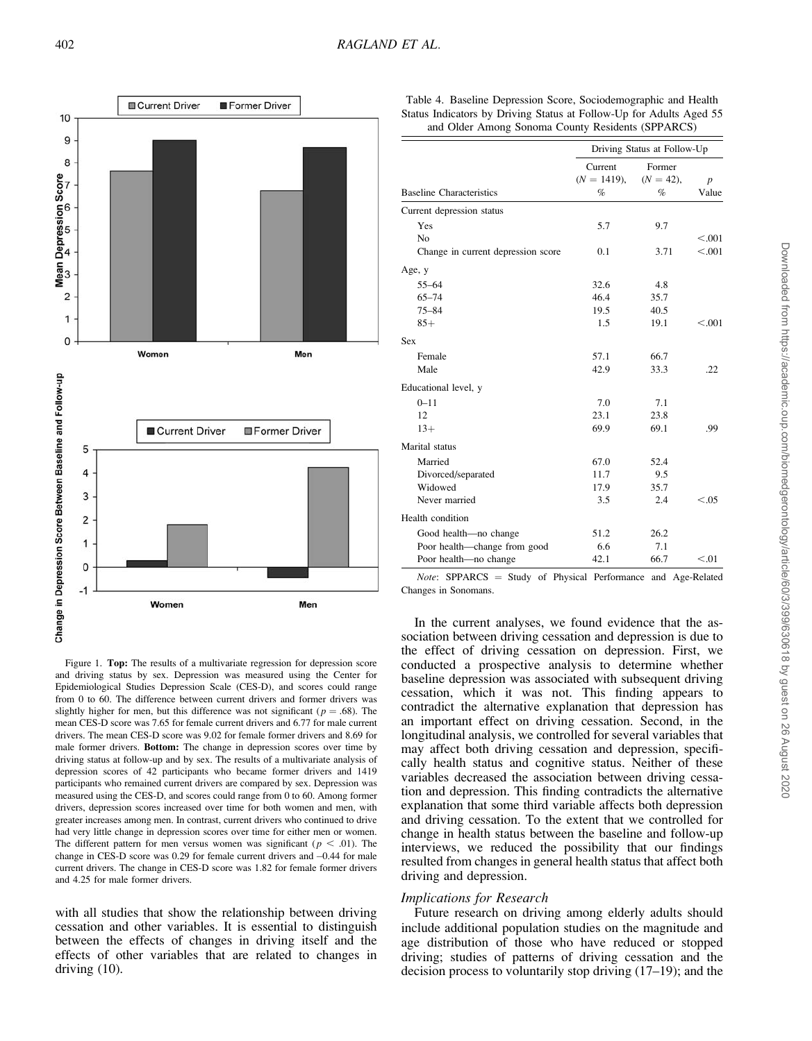

Table 4. Baseline Depression Score, Sociodemographic and Health Status Indicators by Driving Status at Follow-Up for Adults Aged 55 and Older Among Sonoma County Residents (SPPARCS)

|                                    | Driving Status at Follow-Up |                        |                  |
|------------------------------------|-----------------------------|------------------------|------------------|
|                                    | Current<br>$(N = 1419)$ ,   | Former<br>$(N = 42)$ , | $\boldsymbol{p}$ |
| <b>Baseline Characteristics</b>    | $\%$                        | $\%$                   | Value            |
| Current depression status          |                             |                        |                  |
| Yes                                | 5.7                         | 9.7                    |                  |
| No                                 |                             |                        | < 0.001          |
| Change in current depression score | 0.1                         | 3.71                   | < 0.001          |
| Age, y                             |                             |                        |                  |
| $55 - 64$                          | 32.6                        | 4.8                    |                  |
| $65 - 74$                          | 46.4                        | 35.7                   |                  |
| $75 - 84$                          | 19.5                        | 40.5                   |                  |
| $85+$                              | 1.5                         | 19.1                   | < 0.001          |
| Sex                                |                             |                        |                  |
| Female                             | 57.1                        | 66.7                   |                  |
| Male                               | 42.9                        | 33.3                   | .22              |
| Educational level, y               |                             |                        |                  |
| $0 - 11$                           | 7.0                         | 7.1                    |                  |
| 12                                 | 23.1                        | 23.8                   |                  |
| $13+$                              | 69.9                        | 69.1                   | .99              |
| Marital status                     |                             |                        |                  |
| Married                            | 67.0                        | 52.4                   |                  |
| Divorced/separated                 | 11.7                        | 9.5                    |                  |
| Widowed                            | 17.9                        | 35.7                   |                  |
| Never married                      | 3.5                         | 2.4                    | < 0.05           |
| Health condition                   |                             |                        |                  |
| Good health-no change              | 51.2                        | 26.2                   |                  |
| Poor health-change from good       | 6.6                         | 7.1                    |                  |
| Poor health—no change              | 42.1                        | 66.7                   | < 0.01           |

 $Note:$  SPPARCS = Study of Physical Performance and Age-Related Changes in Sonomans.

Figure 1. Top: The results of a multivariate regression for depression score and driving status by sex. Depression was measured using the Center for Epidemiological Studies Depression Scale (CES-D), and scores could range from 0 to 60. The difference between current drivers and former drivers was slightly higher for men, but this difference was not significant ( $p = .68$ ). The mean CES-D score was 7.65 for female current drivers and 6.77 for male current drivers. The mean CES-D score was 9.02 for female former drivers and 8.69 for male former drivers. Bottom: The change in depression scores over time by driving status at follow-up and by sex. The results of a multivariate analysis of depression scores of 42 participants who became former drivers and 1419 participants who remained current drivers are compared by sex. Depression was measured using the CES-D, and scores could range from 0 to 60. Among former drivers, depression scores increased over time for both women and men, with greater increases among men. In contrast, current drivers who continued to drive had very little change in depression scores over time for either men or women. The different pattern for men versus women was significant ( $p < .01$ ). The change in CES-D score was 0.29 for female current drivers and  $-0.44$  for male current drivers. The change in CES-D score was 1.82 for female former drivers and 4.25 for male former drivers.

with all studies that show the relationship between driving cessation and other variables. It is essential to distinguish between the effects of changes in driving itself and the effects of other variables that are related to changes in driving (10).

In the current analyses, we found evidence that the association between driving cessation and depression is due to the effect of driving cessation on depression. First, we conducted a prospective analysis to determine whether baseline depression was associated with subsequent driving cessation, which it was not. This finding appears to contradict the alternative explanation that depression has an important effect on driving cessation. Second, in the longitudinal analysis, we controlled for several variables that may affect both driving cessation and depression, specifically health status and cognitive status. Neither of these variables decreased the association between driving cessation and depression. This finding contradicts the alternative explanation that some third variable affects both depression and driving cessation. To the extent that we controlled for change in health status between the baseline and follow-up interviews, we reduced the possibility that our findings resulted from changes in general health status that affect both driving and depression.

#### Implications for Research

Future research on driving among elderly adults should include additional population studies on the magnitude and age distribution of those who have reduced or stopped driving; studies of patterns of driving cessation and the decision process to voluntarily stop driving (17–19); and the